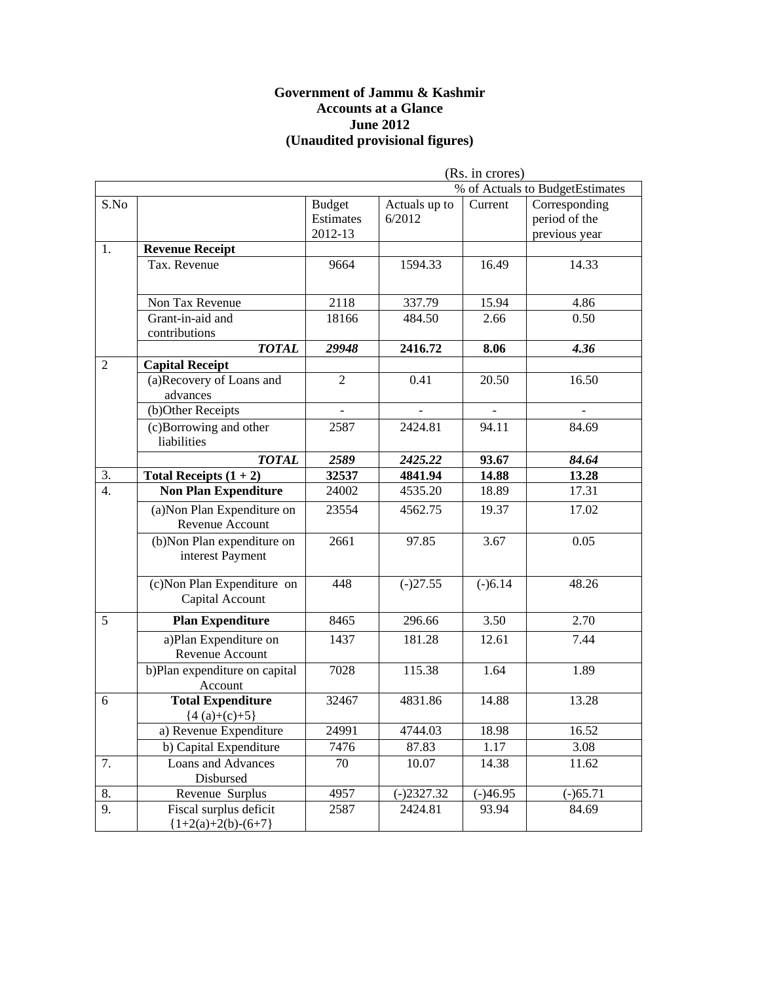#### **Government of Jammu & Kashmir Accounts at a Glance June 2012 (Unaudited provisional figures)**

|                  | (Rs. in crores)                                 |                                       |                         |            |                                                 |
|------------------|-------------------------------------------------|---------------------------------------|-------------------------|------------|-------------------------------------------------|
|                  |                                                 |                                       |                         |            | % of Actuals to BudgetEstimates                 |
| S.No             |                                                 | <b>Budget</b><br>Estimates<br>2012-13 | Actuals up to<br>6/2012 | Current    | Corresponding<br>period of the<br>previous year |
| 1.               | <b>Revenue Receipt</b>                          |                                       |                         |            |                                                 |
|                  | Tax. Revenue                                    | 9664                                  | 1594.33                 | 16.49      | 14.33                                           |
|                  | Non Tax Revenue                                 | 2118                                  | 337.79                  | 15.94      | 4.86                                            |
|                  | Grant-in-aid and<br>contributions               | 18166                                 | 484.50                  | 2.66       | 0.50                                            |
|                  | <b>TOTAL</b>                                    | 29948                                 | 2416.72                 | 8.06       | 4.36                                            |
| $\overline{2}$   | <b>Capital Receipt</b>                          |                                       |                         |            |                                                 |
|                  | (a)Recovery of Loans and<br>advances            | $\overline{c}$                        | 0.41                    | 20.50      | 16.50                                           |
|                  | (b)Other Receipts                               |                                       |                         |            |                                                 |
|                  | (c)Borrowing and other<br>liabilities           | 2587                                  | 2424.81                 | 94.11      | 84.69                                           |
|                  | <b>TOTAL</b>                                    | 2589                                  | 2425.22                 | 93.67      | 84.64                                           |
| $\overline{3}$ . | Total Receipts $(1 + 2)$                        | 32537                                 | 4841.94                 | 14.88      | 13.28                                           |
| $\overline{4}$ . | <b>Non Plan Expenditure</b>                     | 24002                                 | 4535.20                 | 18.89      | 17.31                                           |
|                  | (a) Non Plan Expenditure on<br>Revenue Account  | 23554                                 | 4562.75                 | 19.37      | 17.02                                           |
|                  | (b) Non Plan expenditure on<br>interest Payment | 2661                                  | 97.85                   | 3.67       | 0.05                                            |
|                  | (c) Non Plan Expenditure on<br>Capital Account  | 448                                   | $(-)27.55$              | $(-)6.14$  | 48.26                                           |
| 5                | <b>Plan Expenditure</b>                         | 8465                                  | 296.66                  | 3.50       | 2.70                                            |
|                  | a)Plan Expenditure on<br>Revenue Account        | 1437                                  | 181.28                  | 12.61      | 7.44                                            |
|                  | b)Plan expenditure on capital<br>Account        | 7028                                  | 115.38                  | 1.64       | 1.89                                            |
| 6                | <b>Total Expenditure</b><br>${4(a)+(c)+5}$      | 32467                                 | 4831.86                 | 14.88      | 13.28                                           |
|                  | a) Revenue Expenditure                          | 24991                                 | 4744.03                 | 18.98      | 16.52                                           |
|                  | b) Capital Expenditure                          | 7476                                  | 87.83                   | 1.17       | 3.08                                            |
| 7.               | <b>Loans and Advances</b><br>Disbursed          | 70                                    | 10.07                   | 14.38      | 11.62                                           |
| 8.               | Revenue Surplus                                 | 4957                                  | $(-)2327.32$            | $(-)46.95$ | $(-)65.71$                                      |
| 9.               | Fiscal surplus deficit<br>${1+2(a)+2(b)-(6+7)}$ | 2587                                  | 2424.81                 | 93.94      | 84.69                                           |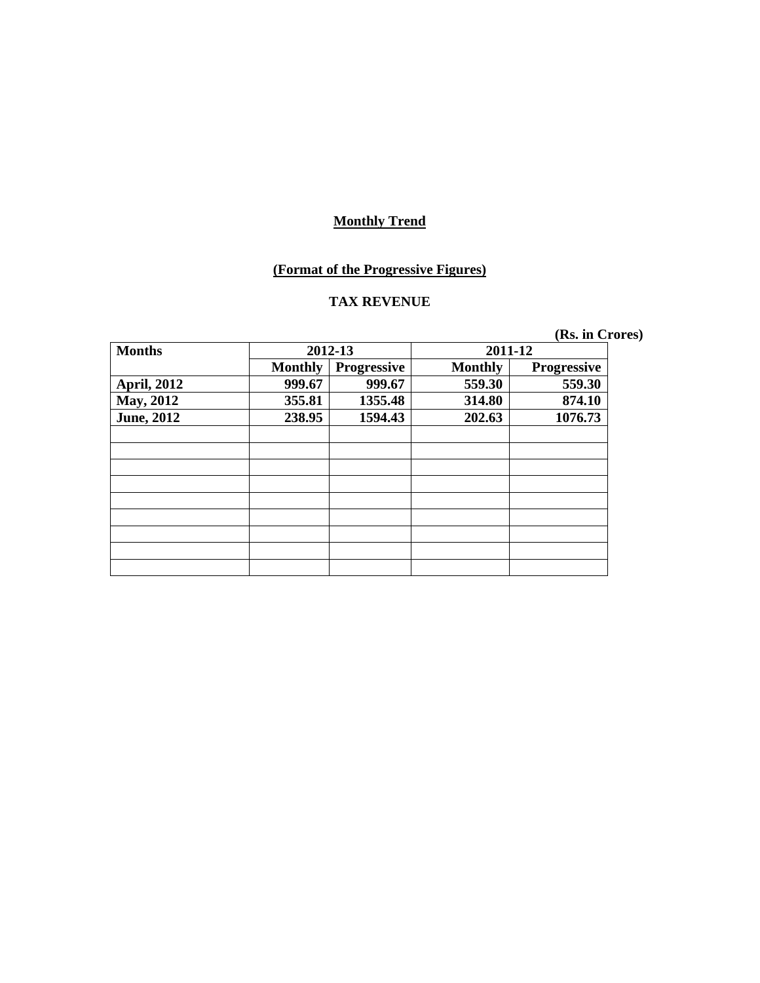#### **(Format of the Progressive Figures)**

# **TAX REVENUE**

| <b>Months</b>      | 2012-13        |                    |                | 2011-12            |
|--------------------|----------------|--------------------|----------------|--------------------|
|                    | <b>Monthly</b> | <b>Progressive</b> | <b>Monthly</b> | <b>Progressive</b> |
| <b>April, 2012</b> | 999.67         | 999.67             | 559.30         | 559.30             |
| <b>May, 2012</b>   | 355.81         | 1355.48            | 314.80         | 874.10             |
| <b>June, 2012</b>  | 238.95         | 1594.43            | 202.63         | 1076.73            |
|                    |                |                    |                |                    |
|                    |                |                    |                |                    |
|                    |                |                    |                |                    |
|                    |                |                    |                |                    |
|                    |                |                    |                |                    |
|                    |                |                    |                |                    |
|                    |                |                    |                |                    |
|                    |                |                    |                |                    |
|                    |                |                    |                |                    |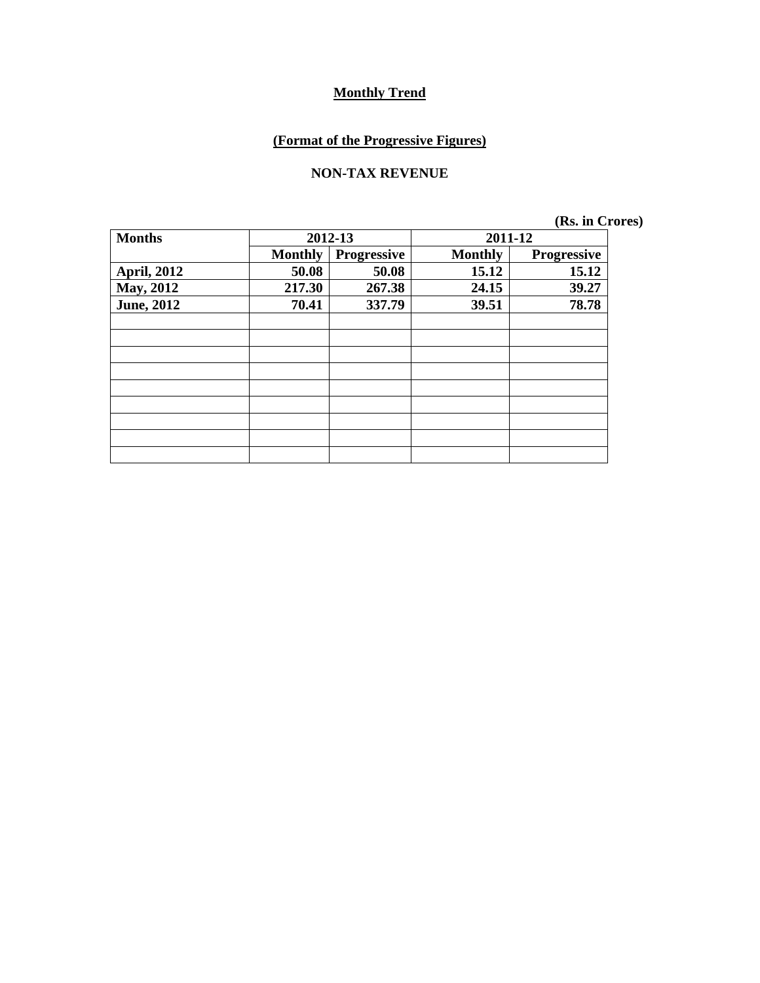# **(Format of the Progressive Figures)**

#### **NON-TAX REVENUE**

| <b>Months</b>      | 2012-13        |             | 2011-12        |                    |
|--------------------|----------------|-------------|----------------|--------------------|
|                    | <b>Monthly</b> | Progressive | <b>Monthly</b> | <b>Progressive</b> |
| <b>April, 2012</b> | 50.08          | 50.08       | 15.12          | 15.12              |
| <b>May, 2012</b>   | 217.30         | 267.38      | 24.15          | 39.27              |
| <b>June, 2012</b>  | 70.41          | 337.79      | 39.51          | 78.78              |
|                    |                |             |                |                    |
|                    |                |             |                |                    |
|                    |                |             |                |                    |
|                    |                |             |                |                    |
|                    |                |             |                |                    |
|                    |                |             |                |                    |
|                    |                |             |                |                    |
|                    |                |             |                |                    |
|                    |                |             |                |                    |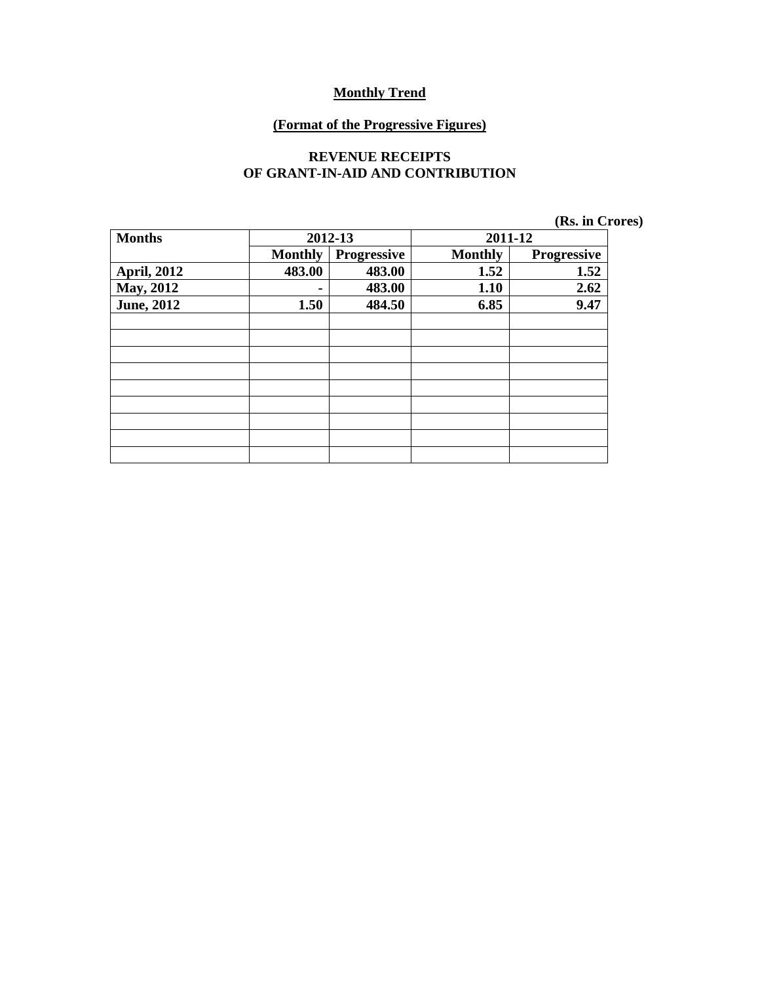#### **(Format of the Progressive Figures)**

#### **REVENUE RECEIPTS OF GRANT-IN-AID AND CONTRIBUTION**

| (Rs. in Crores) |  |  |  |  |
|-----------------|--|--|--|--|
|-----------------|--|--|--|--|

| <b>Months</b>      | 2012-13        |                    | 2011-12        |                    |
|--------------------|----------------|--------------------|----------------|--------------------|
|                    | <b>Monthly</b> | <b>Progressive</b> | <b>Monthly</b> | <b>Progressive</b> |
| <b>April, 2012</b> | 483.00         | 483.00             | 1.52           | 1.52               |
| <b>May, 2012</b>   |                | 483.00             | 1.10           | 2.62               |
| <b>June, 2012</b>  | 1.50           | 484.50             | 6.85           | 9.47               |
|                    |                |                    |                |                    |
|                    |                |                    |                |                    |
|                    |                |                    |                |                    |
|                    |                |                    |                |                    |
|                    |                |                    |                |                    |
|                    |                |                    |                |                    |
|                    |                |                    |                |                    |
|                    |                |                    |                |                    |
|                    |                |                    |                |                    |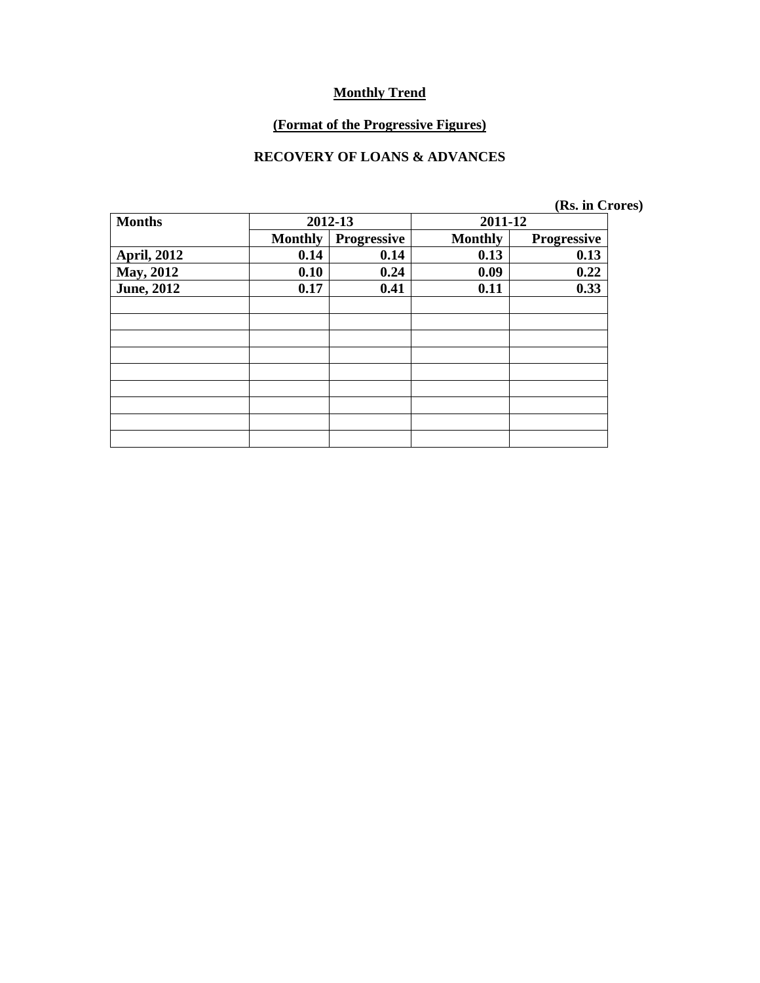#### **(Format of the Progressive Figures)**

### **RECOVERY OF LOANS & ADVANCES**

| <b>Months</b>      |                | 2012-13            | 2011-12        |                    |
|--------------------|----------------|--------------------|----------------|--------------------|
|                    | <b>Monthly</b> | <b>Progressive</b> | <b>Monthly</b> | <b>Progressive</b> |
| <b>April, 2012</b> | 0.14           | 0.14               | 0.13           | 0.13               |
| May, 2012          | 0.10           | 0.24               | 0.09           | 0.22               |
| <b>June</b> , 2012 | 0.17           | 0.41               | 0.11           | 0.33               |
|                    |                |                    |                |                    |
|                    |                |                    |                |                    |
|                    |                |                    |                |                    |
|                    |                |                    |                |                    |
|                    |                |                    |                |                    |
|                    |                |                    |                |                    |
|                    |                |                    |                |                    |
|                    |                |                    |                |                    |
|                    |                |                    |                |                    |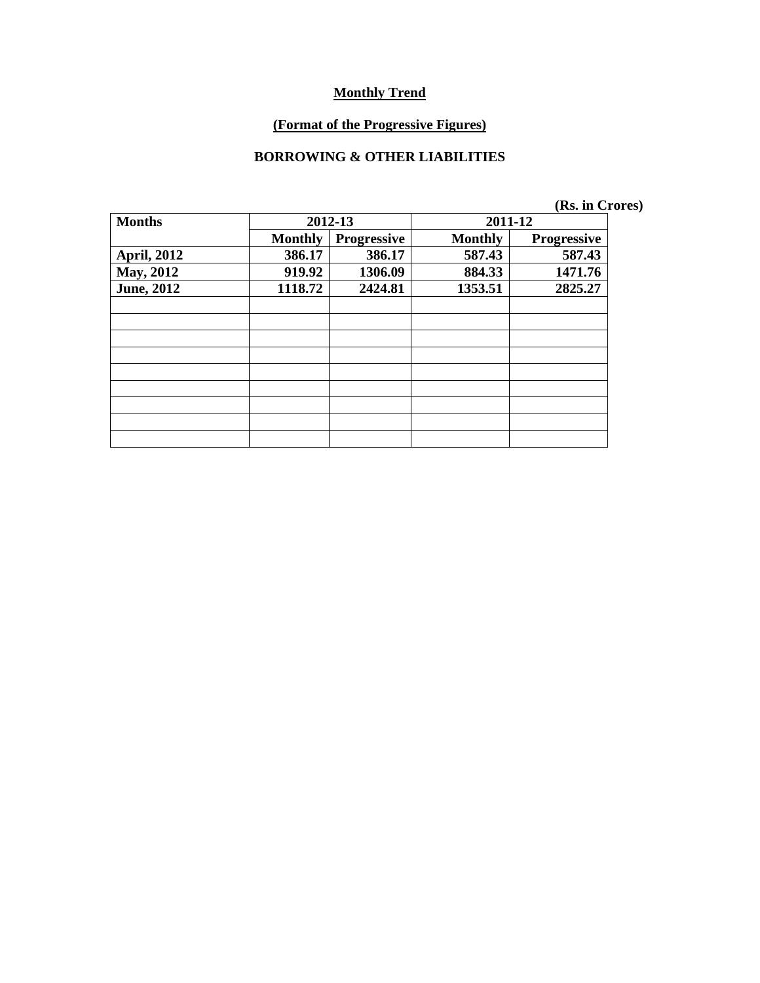#### **(Format of the Progressive Figures)**

### **BORROWING & OTHER LIABILITIES**

|                    |                |                    |                | (Rs. in Crores)    |
|--------------------|----------------|--------------------|----------------|--------------------|
| <b>Months</b>      |                | 2012-13            | 2011-12        |                    |
|                    | <b>Monthly</b> | <b>Progressive</b> | <b>Monthly</b> | <b>Progressive</b> |
| <b>April, 2012</b> | 386.17         | 386.17             | 587.43         | 587.43             |
| May, 2012          | 919.92         | 1306.09            | 884.33         | 1471.76            |
| <b>June</b> , 2012 | 1118.72        | 2424.81            | 1353.51        | 2825.27            |
|                    |                |                    |                |                    |
|                    |                |                    |                |                    |
|                    |                |                    |                |                    |
|                    |                |                    |                |                    |
|                    |                |                    |                |                    |
|                    |                |                    |                |                    |
|                    |                |                    |                |                    |
|                    |                |                    |                |                    |
|                    |                |                    |                |                    |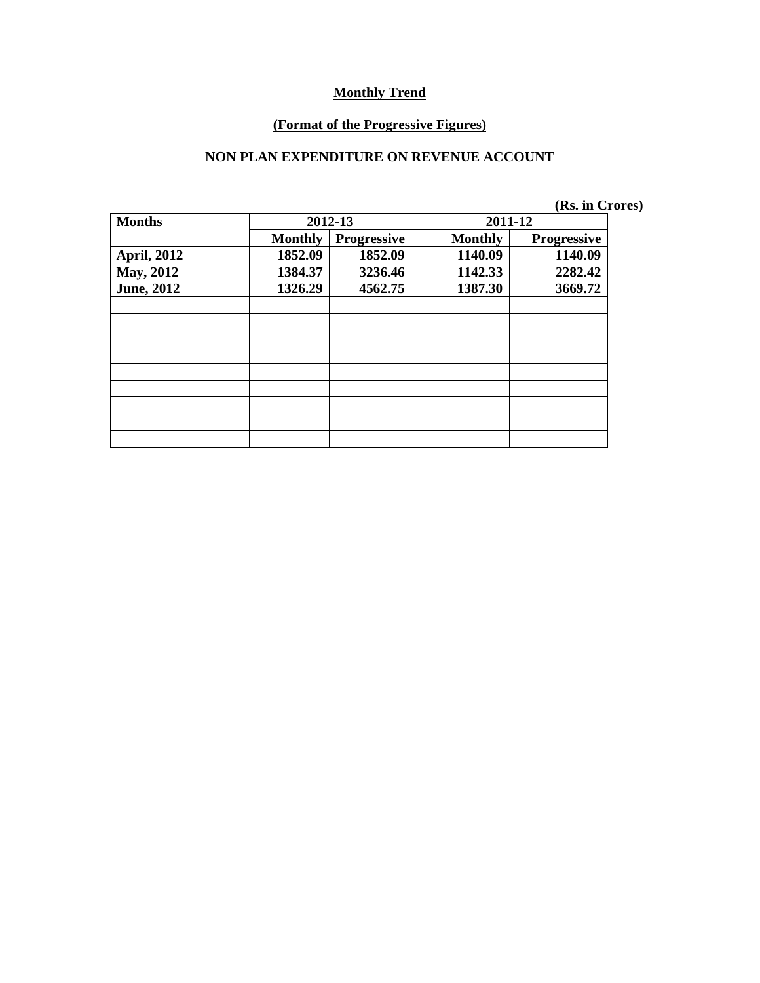#### **(Format of the Progressive Figures)**

### **NON PLAN EXPENDITURE ON REVENUE ACCOUNT**

|                    |                |                    |                | (Rs. in Crores)    |
|--------------------|----------------|--------------------|----------------|--------------------|
| <b>Months</b>      |                | 2012-13            | 2011-12        |                    |
|                    | <b>Monthly</b> | <b>Progressive</b> | <b>Monthly</b> | <b>Progressive</b> |
| <b>April, 2012</b> | 1852.09        | 1852.09            | 1140.09        | 1140.09            |
| May, 2012          | 1384.37        | 3236.46            | 1142.33        | 2282.42            |
| <b>June, 2012</b>  | 1326.29        | 4562.75            | 1387.30        | 3669.72            |
|                    |                |                    |                |                    |
|                    |                |                    |                |                    |
|                    |                |                    |                |                    |
|                    |                |                    |                |                    |
|                    |                |                    |                |                    |
|                    |                |                    |                |                    |
|                    |                |                    |                |                    |
|                    |                |                    |                |                    |
|                    |                |                    |                |                    |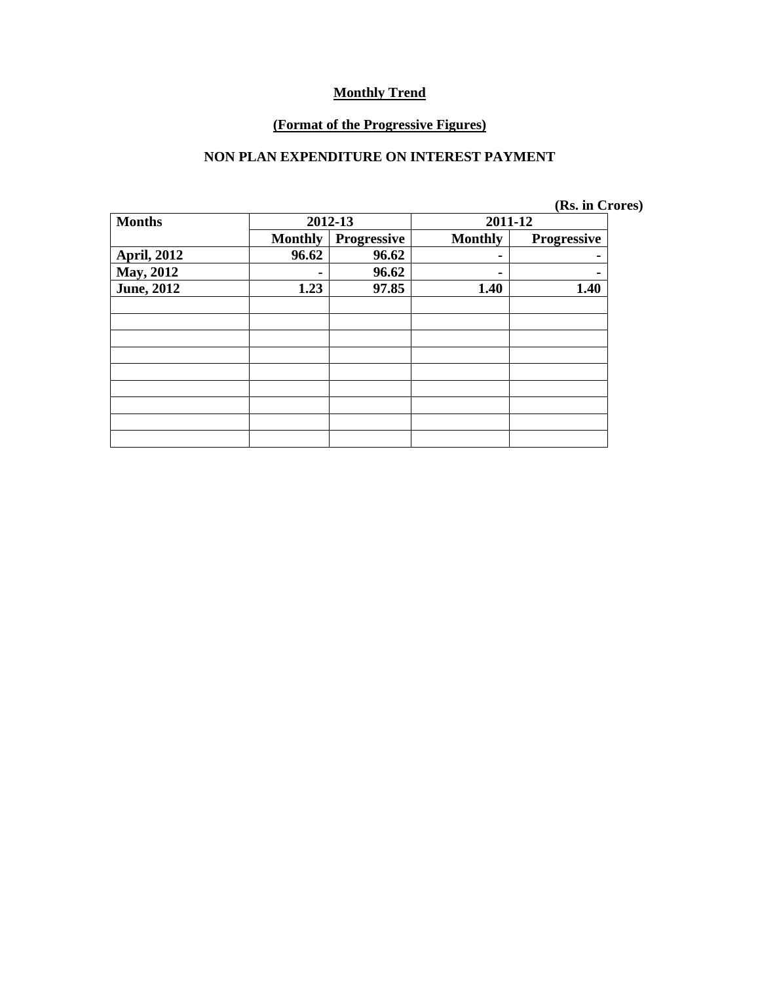#### **(Format of the Progressive Figures)**

### **NON PLAN EXPENDITURE ON INTEREST PAYMENT**

|  |  | (Rs. in Crores) |
|--|--|-----------------|
|--|--|-----------------|

| <b>Months</b>      | 2012-13        |             |                | 2011-12            |
|--------------------|----------------|-------------|----------------|--------------------|
|                    | <b>Monthly</b> | Progressive | <b>Monthly</b> | <b>Progressive</b> |
| <b>April, 2012</b> | 96.62          | 96.62       |                |                    |
| <b>May, 2012</b>   |                | 96.62       |                |                    |
| <b>June, 2012</b>  | 1.23           | 97.85       | 1.40           | 1.40               |
|                    |                |             |                |                    |
|                    |                |             |                |                    |
|                    |                |             |                |                    |
|                    |                |             |                |                    |
|                    |                |             |                |                    |
|                    |                |             |                |                    |
|                    |                |             |                |                    |
|                    |                |             |                |                    |
|                    |                |             |                |                    |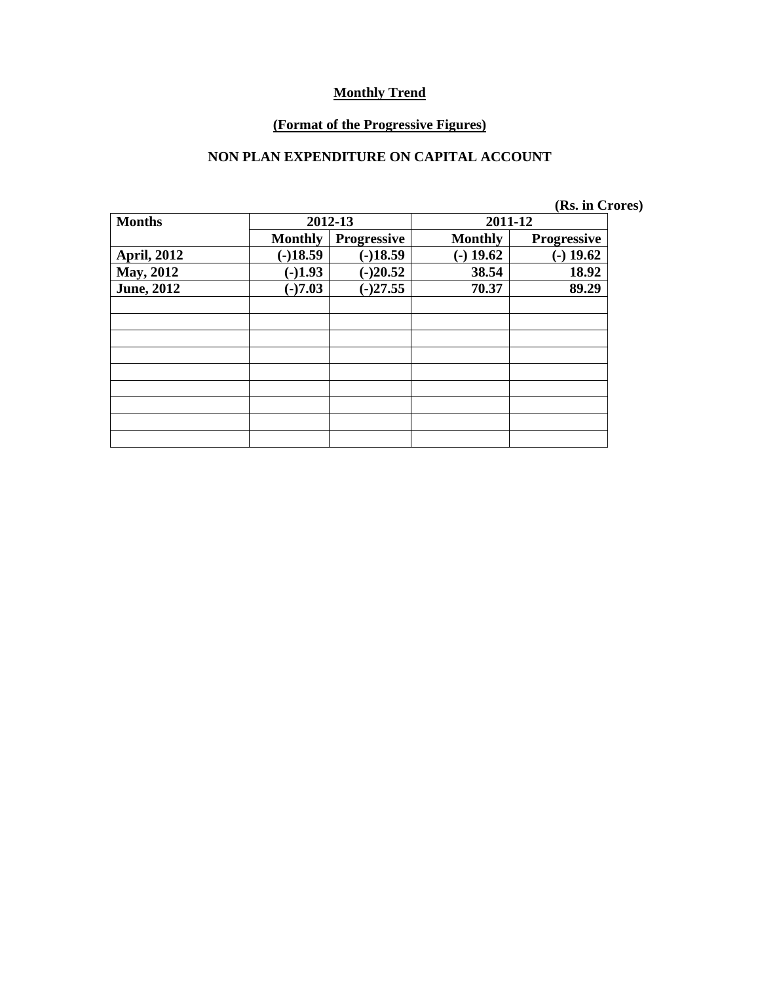#### **(Format of the Progressive Figures)**

### **NON PLAN EXPENDITURE ON CAPITAL ACCOUNT**

|                    |                |                    |                | (Rs. in Crores)    |
|--------------------|----------------|--------------------|----------------|--------------------|
| <b>Months</b>      |                | 2012-13            | 2011-12        |                    |
|                    | <b>Monthly</b> | <b>Progressive</b> | <b>Monthly</b> | <b>Progressive</b> |
| <b>April, 2012</b> | $(-)18.59$     | $(-)18.59$         | $-19.62$       | $(-)$ 19.62        |
| May, 2012          | $(-)1.93$      | $(-)20.52$         | 38.54          | 18.92              |
| <b>June</b> , 2012 | $(-)7.03$      | $(-)27.55$         | 70.37          | 89.29              |
|                    |                |                    |                |                    |
|                    |                |                    |                |                    |
|                    |                |                    |                |                    |
|                    |                |                    |                |                    |
|                    |                |                    |                |                    |
|                    |                |                    |                |                    |
|                    |                |                    |                |                    |
|                    |                |                    |                |                    |
|                    |                |                    |                |                    |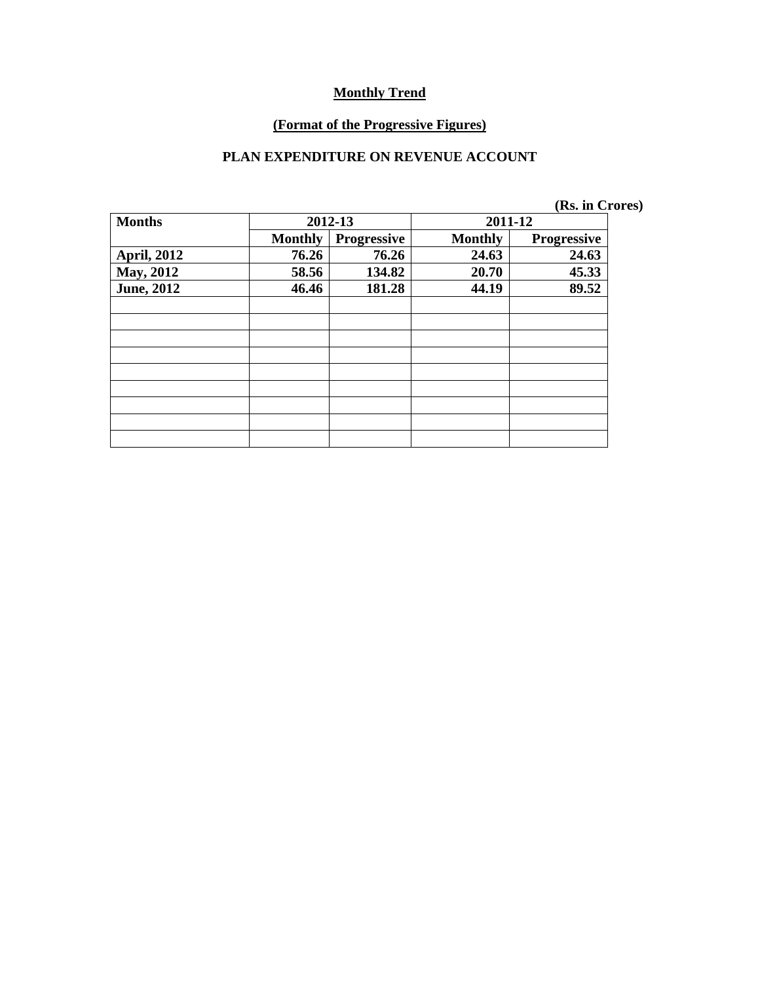#### **(Format of the Progressive Figures)**

### **PLAN EXPENDITURE ON REVENUE ACCOUNT**

|  |  | (Rs. in Crores) |
|--|--|-----------------|
|--|--|-----------------|

| <b>Months</b>      | 2012-13        |                    | 2011-12        |                    |  |
|--------------------|----------------|--------------------|----------------|--------------------|--|
|                    | <b>Monthly</b> | <b>Progressive</b> | <b>Monthly</b> | <b>Progressive</b> |  |
| <b>April, 2012</b> | 76.26          | 76.26              | 24.63          | 24.63              |  |
| May, 2012          | 58.56          | 134.82             | 20.70          | 45.33              |  |
| <b>June, 2012</b>  | 46.46          | 181.28             | 44.19          | 89.52              |  |
|                    |                |                    |                |                    |  |
|                    |                |                    |                |                    |  |
|                    |                |                    |                |                    |  |
|                    |                |                    |                |                    |  |
|                    |                |                    |                |                    |  |
|                    |                |                    |                |                    |  |
|                    |                |                    |                |                    |  |
|                    |                |                    |                |                    |  |
|                    |                |                    |                |                    |  |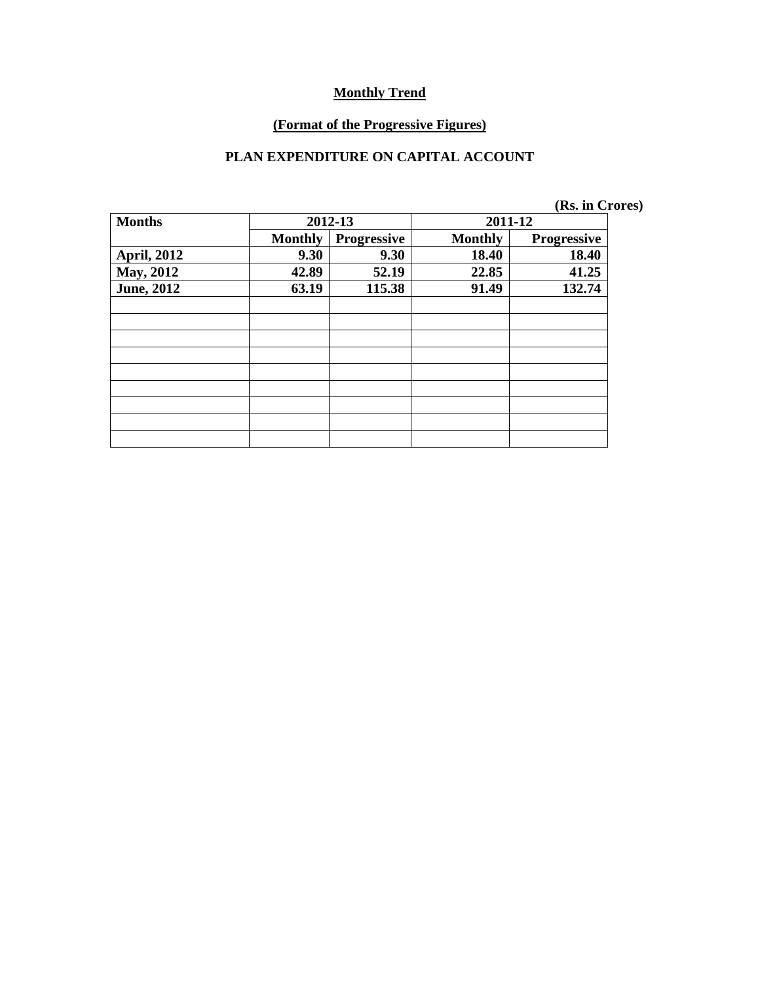#### **(Format of the Progressive Figures)**

### **PLAN EXPENDITURE ON CAPITAL ACCOUNT**

|                    |                |             |                | (Rs. in Crores) |  |
|--------------------|----------------|-------------|----------------|-----------------|--|
| <b>Months</b>      |                | 2012-13     | 2011-12        |                 |  |
|                    | <b>Monthly</b> | Progressive | <b>Monthly</b> | Progressive     |  |
| <b>April, 2012</b> | 9.30           | 9.30        | 18.40          | 18.40           |  |
| <b>May, 2012</b>   | 42.89          | 52.19       | 22.85          | 41.25           |  |
| <b>June, 2012</b>  | 63.19          | 115.38      | 91.49          | 132.74          |  |
|                    |                |             |                |                 |  |
|                    |                |             |                |                 |  |
|                    |                |             |                |                 |  |
|                    |                |             |                |                 |  |
|                    |                |             |                |                 |  |
|                    |                |             |                |                 |  |
|                    |                |             |                |                 |  |
|                    |                |             |                |                 |  |
|                    |                |             |                |                 |  |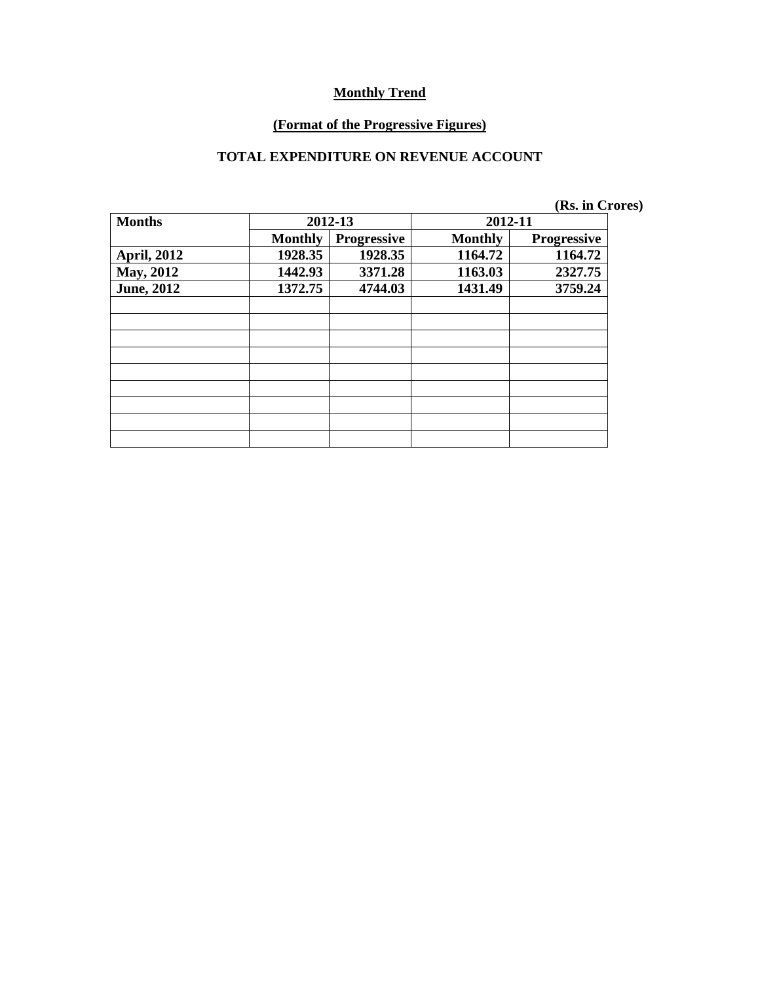#### **(Format of the Progressive Figures)**

### **TOTAL EXPENDITURE ON REVENUE ACCOUNT**

|  | (Rs. in Crores) |
|--|-----------------|
|--|-----------------|

| <b>Months</b>      | 2012-13        |                    | 2012-11        |                    |  |
|--------------------|----------------|--------------------|----------------|--------------------|--|
|                    | <b>Monthly</b> | <b>Progressive</b> | <b>Monthly</b> | <b>Progressive</b> |  |
| <b>April, 2012</b> | 1928.35        | 1928.35            | 1164.72        | 1164.72            |  |
| <b>May, 2012</b>   | 1442.93        | 3371.28            | 1163.03        | 2327.75            |  |
| <b>June, 2012</b>  | 1372.75        | 4744.03            | 1431.49        | 3759.24            |  |
|                    |                |                    |                |                    |  |
|                    |                |                    |                |                    |  |
|                    |                |                    |                |                    |  |
|                    |                |                    |                |                    |  |
|                    |                |                    |                |                    |  |
|                    |                |                    |                |                    |  |
|                    |                |                    |                |                    |  |
|                    |                |                    |                |                    |  |
|                    |                |                    |                |                    |  |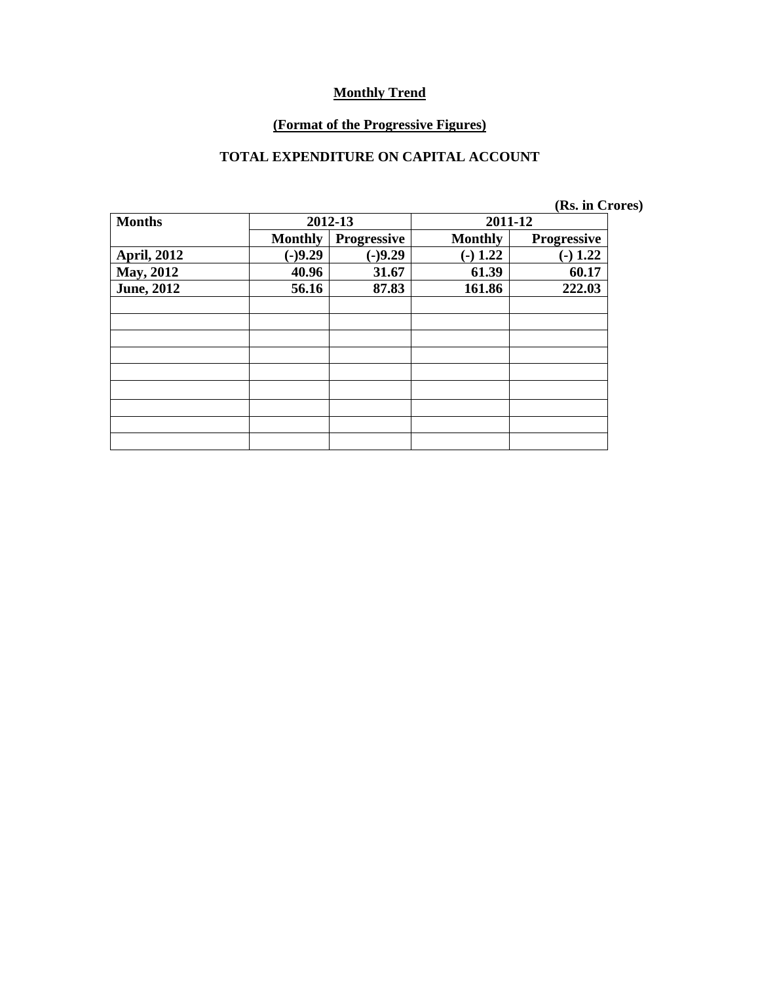#### **(Format of the Progressive Figures)**

### **TOTAL EXPENDITURE ON CAPITAL ACCOUNT**

|  |  | (Rs. in Crores) |
|--|--|-----------------|
|--|--|-----------------|

| <b>Months</b>      | 2012-13        |                    | 2011-12        |                    |  |
|--------------------|----------------|--------------------|----------------|--------------------|--|
|                    | <b>Monthly</b> | <b>Progressive</b> | <b>Monthly</b> | <b>Progressive</b> |  |
| <b>April, 2012</b> | $(-)9.29$      | $(-)9.29$          | $(-) 1.22$     | $(-) 1.22$         |  |
| May, 2012          | 40.96          | 31.67              | 61.39          | 60.17              |  |
| <b>June, 2012</b>  | 56.16          | 87.83              | 161.86         | 222.03             |  |
|                    |                |                    |                |                    |  |
|                    |                |                    |                |                    |  |
|                    |                |                    |                |                    |  |
|                    |                |                    |                |                    |  |
|                    |                |                    |                |                    |  |
|                    |                |                    |                |                    |  |
|                    |                |                    |                |                    |  |
|                    |                |                    |                |                    |  |
|                    |                |                    |                |                    |  |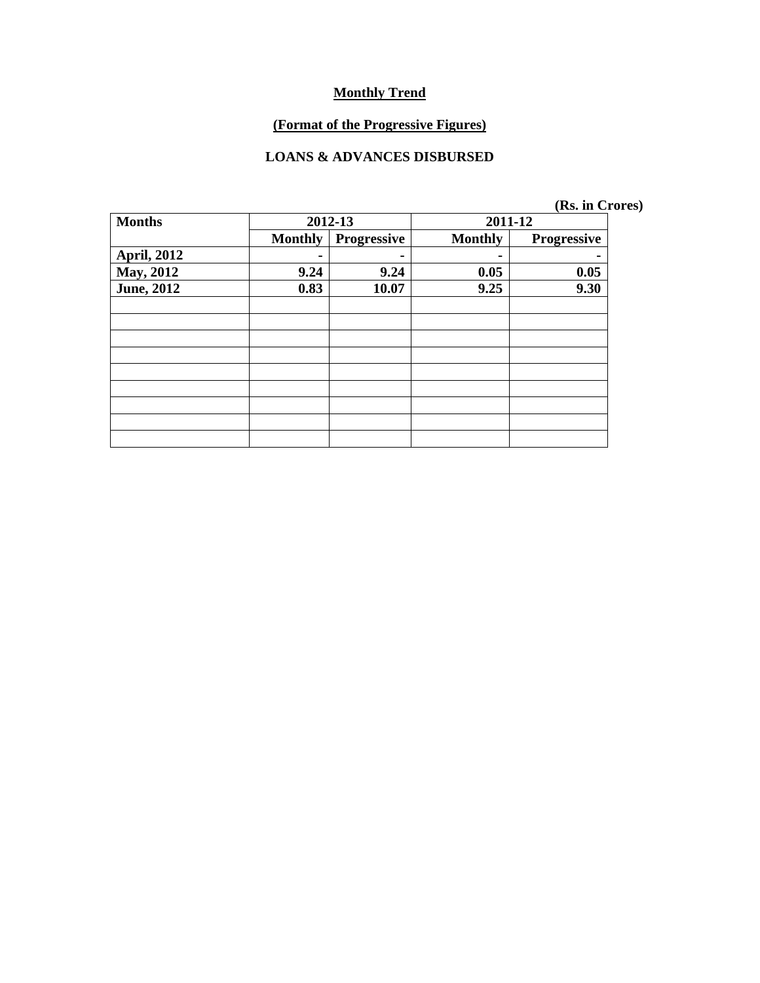# **(Format of the Progressive Figures)**

### **LOANS & ADVANCES DISBURSED**

|  | (Rs. in Crores) |
|--|-----------------|
|  |                 |

| <b>Months</b>      | 2012-13        |             | 2011-12        |                    |  |
|--------------------|----------------|-------------|----------------|--------------------|--|
|                    | <b>Monthly</b> | Progressive | <b>Monthly</b> | <b>Progressive</b> |  |
| <b>April, 2012</b> |                | ۰           | -              |                    |  |
| <b>May, 2012</b>   | 9.24           | 9.24        | 0.05           | 0.05               |  |
| <b>June, 2012</b>  | 0.83           | 10.07       | 9.25           | 9.30               |  |
|                    |                |             |                |                    |  |
|                    |                |             |                |                    |  |
|                    |                |             |                |                    |  |
|                    |                |             |                |                    |  |
|                    |                |             |                |                    |  |
|                    |                |             |                |                    |  |
|                    |                |             |                |                    |  |
|                    |                |             |                |                    |  |
|                    |                |             |                |                    |  |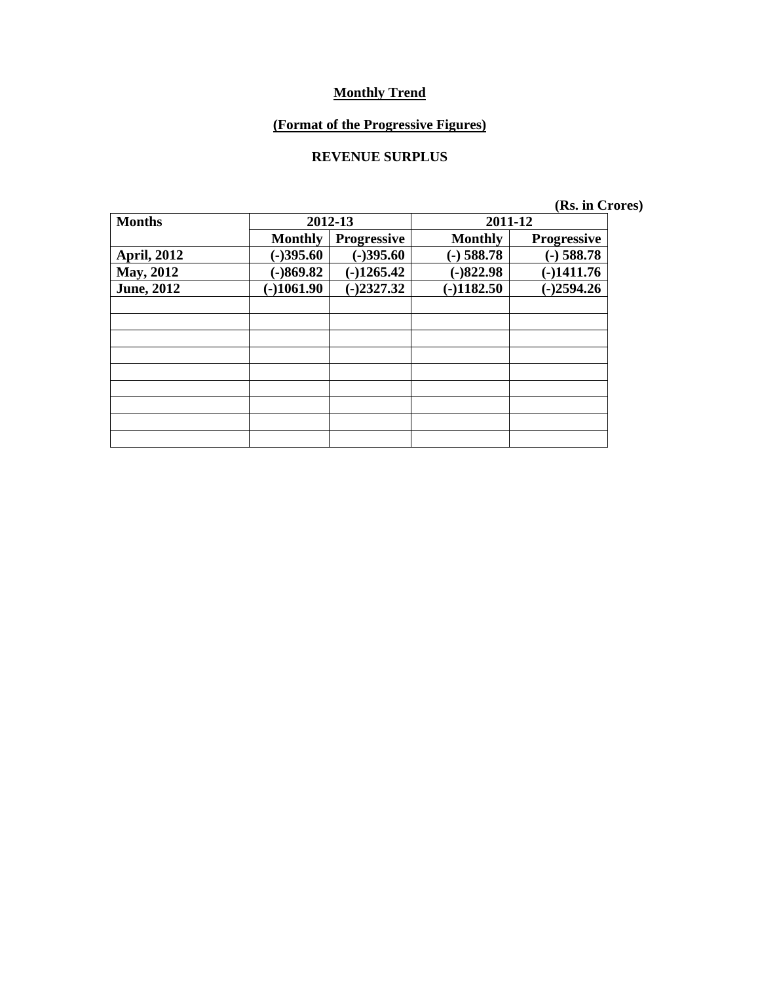#### **(Format of the Progressive Figures)**

### **REVENUE SURPLUS**

| <b>Months</b>      | 2012-13        |                    | 2011-12        |                    |  |
|--------------------|----------------|--------------------|----------------|--------------------|--|
|                    | <b>Monthly</b> | <b>Progressive</b> | <b>Monthly</b> | <b>Progressive</b> |  |
| <b>April, 2012</b> | $(-)395.60$    | $(-)395.60$        | $(-)$ 588.78   | $(-)$ 588.78       |  |
| <b>May, 2012</b>   | $(-)869.82$    | $(-)1265.42$       | $(-)822.98$    | $(-)1411.76$       |  |
| <b>June, 2012</b>  | $(-)1061.90$   | $(-)2327.32$       | $(-)1182.50$   | $(-)2594.26$       |  |
|                    |                |                    |                |                    |  |
|                    |                |                    |                |                    |  |
|                    |                |                    |                |                    |  |
|                    |                |                    |                |                    |  |
|                    |                |                    |                |                    |  |
|                    |                |                    |                |                    |  |
|                    |                |                    |                |                    |  |
|                    |                |                    |                |                    |  |
|                    |                |                    |                |                    |  |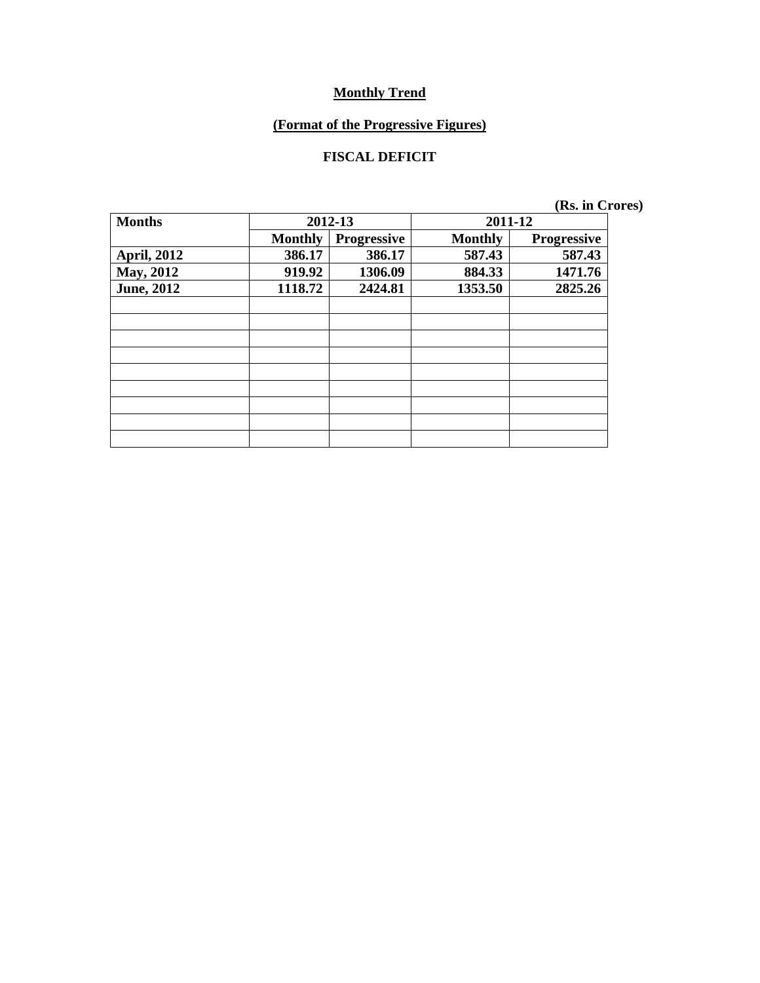#### **(Format of the Progressive Figures)**

### **FISCAL DEFICIT**

| <b>Months</b>      | 2012-13        |                    | 2011-12        |                    |  |
|--------------------|----------------|--------------------|----------------|--------------------|--|
|                    | <b>Monthly</b> | <b>Progressive</b> | <b>Monthly</b> | <b>Progressive</b> |  |
| <b>April, 2012</b> | 386.17         | 386.17             | 587.43         | 587.43             |  |
| <b>May, 2012</b>   | 919.92         | 1306.09            | 884.33         | 1471.76            |  |
| <b>June, 2012</b>  | 1118.72        | 2424.81            | 1353.50        | 2825.26            |  |
|                    |                |                    |                |                    |  |
|                    |                |                    |                |                    |  |
|                    |                |                    |                |                    |  |
|                    |                |                    |                |                    |  |
|                    |                |                    |                |                    |  |
|                    |                |                    |                |                    |  |
|                    |                |                    |                |                    |  |
|                    |                |                    |                |                    |  |
|                    |                |                    |                |                    |  |